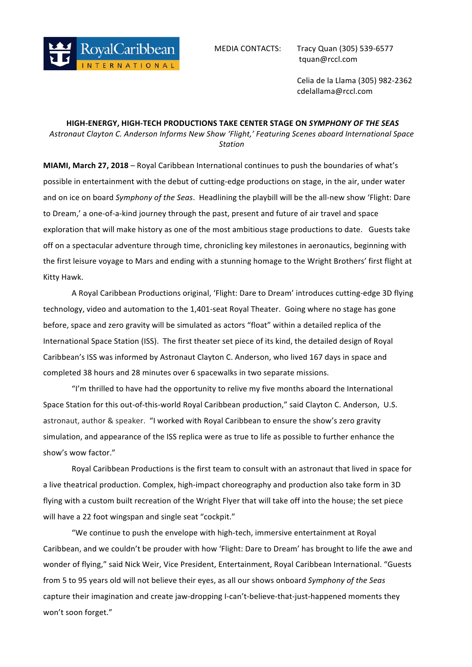

MEDIA CONTACTS: Tracy Quan (305) 539-6577 tquan@rccl.com

> Celia de la Llama (305) 982-2362 cdelallama@rccl.com

## **HIGH-ENERGY, HIGH-TECH PRODUCTIONS TAKE CENTER STAGE ON** *SYMPHONY OF THE SEAS*

Astronaut *Clayton C. Anderson Informs New Show 'Flight,' Featuring Scenes aboard International Space Station*

**MIAMI, March 27, 2018** – Royal Caribbean International continues to push the boundaries of what's possible in entertainment with the debut of cutting-edge productions on stage, in the air, under water and on ice on board *Symphony of the Seas*. Headlining the playbill will be the all-new show 'Flight: Dare to Dream,' a one-of-a-kind journey through the past, present and future of air travel and space exploration that will make history as one of the most ambitious stage productions to date. Guests take off on a spectacular adventure through time, chronicling key milestones in aeronautics, beginning with the first leisure voyage to Mars and ending with a stunning homage to the Wright Brothers' first flight at Kitty Hawk.

A Royal Caribbean Productions original, 'Flight: Dare to Dream' introduces cutting-edge 3D flying technology, video and automation to the 1,401-seat Royal Theater. Going where no stage has gone before, space and zero gravity will be simulated as actors "float" within a detailed replica of the International Space Station (ISS). The first theater set piece of its kind, the detailed design of Royal Caribbean's ISS was informed by Astronaut Clayton C. Anderson, who lived 167 days in space and completed 38 hours and 28 minutes over 6 spacewalks in two separate missions.

"I'm thrilled to have had the opportunity to relive my five months aboard the International Space Station for this out-of-this-world Royal Caribbean production," said Clayton C. Anderson, U.S. astronaut, author & speaker. "I worked with Royal Caribbean to ensure the show's zero gravity simulation, and appearance of the ISS replica were as true to life as possible to further enhance the show's wow factor."

Royal Caribbean Productions is the first team to consult with an astronaut that lived in space for a live theatrical production. Complex, high-impact choreography and production also take form in 3D flying with a custom built recreation of the Wright Flyer that will take off into the house; the set piece will have a 22 foot wingspan and single seat "cockpit."

"We continue to push the envelope with high-tech, immersive entertainment at Royal Caribbean, and we couldn't be prouder with how 'Flight: Dare to Dream' has brought to life the awe and wonder of flying," said Nick Weir, Vice President, Entertainment, Royal Caribbean International. "Guests from 5 to 95 years old will not believe their eyes, as all our shows onboard Symphony of the Seas capture their imagination and create jaw-dropping I-can't-believe-that-just-happened moments they won't soon forget."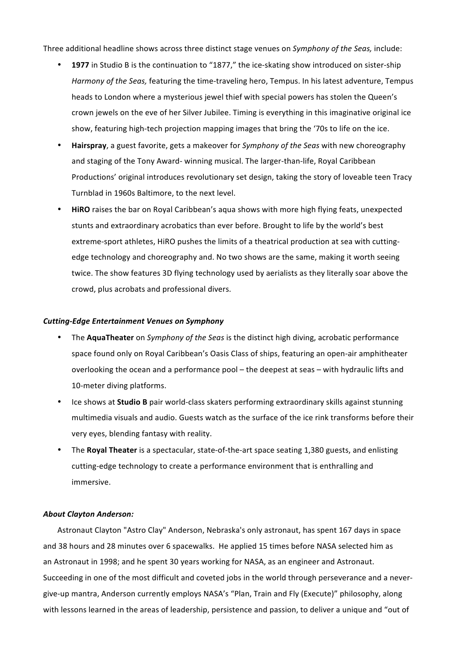Three additional headline shows across three distinct stage venues on *Symphony of the Seas*, include:

- 1977 in Studio B is the continuation to "1877," the ice-skating show introduced on sister-ship *Harmony of the Seas, featuring the time-traveling hero, Tempus. In his latest adventure, Tempus* heads to London where a mysterious jewel thief with special powers has stolen the Queen's crown jewels on the eve of her Silver Jubilee. Timing is everything in this imaginative original ice show, featuring high-tech projection mapping images that bring the '70s to life on the ice.
- Hairspray, a guest favorite, gets a makeover for *Symphony of the Seas* with new choreography and staging of the Tony Award- winning musical. The larger-than-life, Royal Caribbean Productions' original introduces revolutionary set design, taking the story of loveable teen Tracy Turnblad in 1960s Baltimore, to the next level.
- **HiRO** raises the bar on Royal Caribbean's aqua shows with more high flying feats, unexpected stunts and extraordinary acrobatics than ever before. Brought to life by the world's best extreme-sport athletes, HiRO pushes the limits of a theatrical production at sea with cuttingedge technology and choreography and. No two shows are the same, making it worth seeing twice. The show features 3D flying technology used by aerialists as they literally soar above the crowd, plus acrobats and professional divers.

## *Cutting-Edge Entertainment Venues on Symphony*

- The **AquaTheater** on *Symphony of the Seas* is the distinct high diving, acrobatic performance space found only on Royal Caribbean's Oasis Class of ships, featuring an open-air amphitheater overlooking the ocean and a performance pool – the deepest at seas – with hydraulic lifts and 10-meter diving platforms.
- Ice shows at **Studio B** pair world-class skaters performing extraordinary skills against stunning multimedia visuals and audio. Guests watch as the surface of the ice rink transforms before their very eyes, blending fantasy with reality.
- The **Royal Theater** is a spectacular, state-of-the-art space seating 1,380 guests, and enlisting cutting-edge technology to create a performance environment that is enthralling and immersive.

## *About Clayton Anderson:*

Astronaut Clayton "Astro Clay" Anderson, Nebraska's only astronaut, has spent 167 days in space and 38 hours and 28 minutes over 6 spacewalks. He applied 15 times before NASA selected him as an Astronaut in 1998; and he spent 30 years working for NASA, as an engineer and Astronaut. Succeeding in one of the most difficult and coveted jobs in the world through perseverance and a nevergive-up mantra, Anderson currently employs NASA's "Plan, Train and Fly (Execute)" philosophy, along with lessons learned in the areas of leadership, persistence and passion, to deliver a unique and "out of